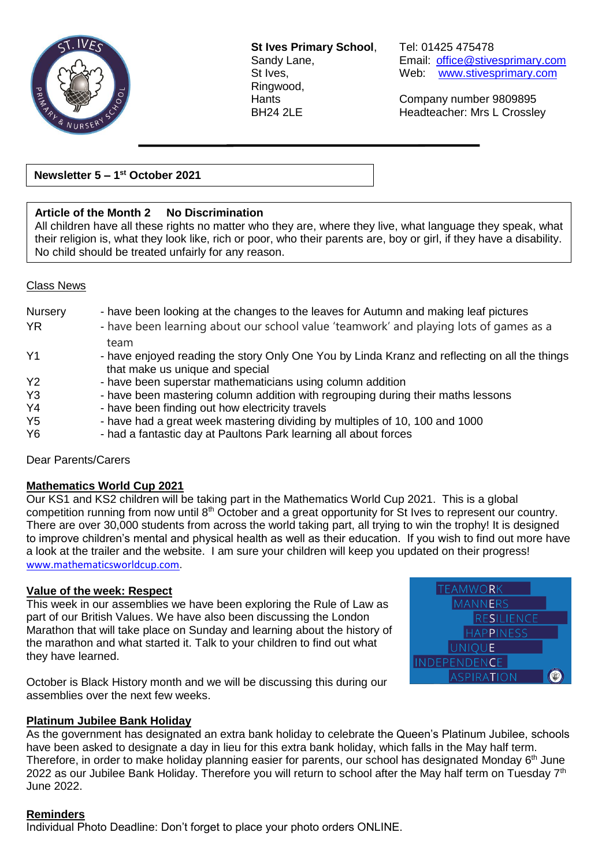

**St Ives Primary School**, Tel: 01425 475478 Ringwood,

Sandy Lane, **Email:** [office@stivesprimary.com](mailto:office@stivesprimary.com) St Ives, Web: [www.stivesprimary.com](http://www.stives.dorset.sch.uk/)

Hants Company number 9809895 BH24 2LE Headteacher: Mrs L Crossley

**Newsletter 5 – 1 st October 2021**

# **Article of the Month 2 No Discrimination**

All children have all these rights no matter who they are, where they live, what language they speak, what their religion is, what they look like, rich or poor, who their parents are, boy or girl, if they have a disability. No child should be treated unfairly for any reason.

#### Class News

| Nursery        | - have been looking at the changes to the leaves for Autumn and making leaf pictures          |
|----------------|-----------------------------------------------------------------------------------------------|
| <b>YR</b>      | - have been learning about our school value 'teamwork' and playing lots of games as a         |
|                | team                                                                                          |
| Y1             | - have enjoyed reading the story Only One You by Linda Kranz and reflecting on all the things |
|                | that make us unique and special                                                               |
| <b>Y2</b>      | - have been superstar mathematicians using column addition                                    |
| Y3             | - have been mastering column addition with regrouping during their maths lessons              |
| Y4             | - have been finding out how electricity travels                                               |
| Y <sub>5</sub> | - have had a great week mastering dividing by multiples of 10, 100 and 1000                   |
| Y <sub>6</sub> | - had a fantastic day at Paultons Park learning all about forces                              |

Dear Parents/Carers

#### **Mathematics World Cup 2021**

Our KS1 and KS2 children will be taking part in the Mathematics World Cup 2021. This is a global competition running from now until 8th October and a great opportunity for St Ives to represent our country. There are over 30,000 students from across the world taking part, all trying to win the trophy! It is designed to improve children's mental and physical health as well as their education. If you wish to find out more have a look at the trailer and the website. I am sure your children will keep you updated on their progress! [www.mathematicsworldcup.com.](http://www.mathematicsworldcup.com/)

#### **Value of the week: Respect**

This week in our assemblies we have been exploring the Rule of Law as part of our British Values. We have also been discussing the London Marathon that will take place on Sunday and learning about the history of the marathon and what started it. Talk to your children to find out what they have learned.



October is Black History month and we will be discussing this during our assemblies over the next few weeks.

# **Platinum Jubilee Bank Holiday**

As the government has designated an extra bank holiday to celebrate the Queen's Platinum Jubilee, schools have been asked to designate a day in lieu for this extra bank holiday, which falls in the May half term. Therefore, in order to make holiday planning easier for parents, our school has designated Monday 6<sup>th</sup> June 2022 as our Jubilee Bank Holiday. Therefore you will return to school after the May half term on Tuesday 7<sup>th</sup> June 2022.

#### **Reminders**

Individual Photo Deadline: Don't forget to place your photo orders ONLINE.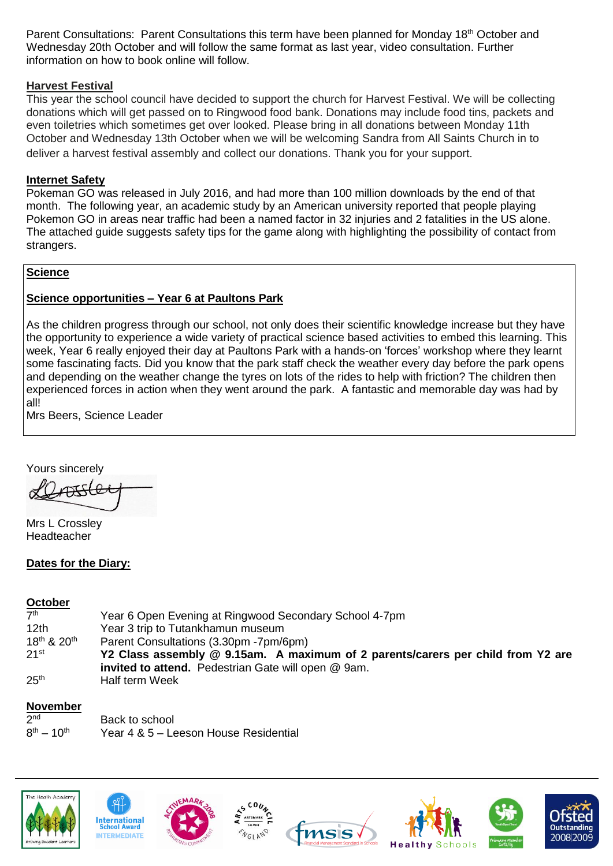Parent Consultations: Parent Consultations this term have been planned for Monday 18<sup>th</sup> October and Wednesday 20th October and will follow the same format as last year, video consultation. Further information on how to book online will follow.

# **Harvest Festival**

This year the school council have decided to support the church for Harvest Festival. We will be collecting donations which will get passed on to Ringwood food bank. Donations may include food tins, packets and even toiletries which sometimes get over looked. Please bring in all donations between Monday 11th October and Wednesday 13th October when we will be welcoming Sandra from All Saints Church in to deliver a harvest festival assembly and collect our donations. Thank you for your support.

# **Internet Safety**

Pokeman GO was released in July 2016, and had more than 100 million downloads by the end of that month. The following year, an academic study by an American university reported that people playing Pokemon GO in areas near traffic had been a named factor in 32 injuries and 2 fatalities in the US alone. The attached guide suggests safety tips for the game along with highlighting the possibility of contact from strangers.

# **Science**

# **Science opportunities – Year 6 at Paultons Park**

As the children progress through our school, not only does their scientific knowledge increase but they have the opportunity to experience a wide variety of practical science based activities to embed this learning. This week, Year 6 really enjoyed their day at Paultons Park with a hands-on 'forces' workshop where they learnt some fascinating facts. Did you know that the park staff check the weather every day before the park opens and depending on the weather change the tyres on lots of the rides to help with friction? The children then experienced forces in action when they went around the park. A fantastic and memorable day was had by all!

Mrs Beers, Science Leader

Yours sincerely

Mrs L Crossley Headteacher

# **Dates for the Diary:**

# **October**

| 7 <sup>th</sup>                     | Year 6 Open Evening at Ringwood Secondary School 4-7pm                          |
|-------------------------------------|---------------------------------------------------------------------------------|
| 12 <sub>th</sub>                    | Year 3 trip to Tutankhamun museum                                               |
| 18 <sup>th</sup> & 20 <sup>th</sup> | Parent Consultations (3.30pm -7pm/6pm)                                          |
| $21^{st}$                           | Y2 Class assembly @ 9.15am. A maximum of 2 parents/carers per child from Y2 are |
|                                     | <b>invited to attend.</b> Pedestrian Gate will open @ 9am.                      |
| 25 <sup>th</sup>                    | Half term Week                                                                  |

# **November**

| 2 <sub>nd</sub>    | Back to school                        |
|--------------------|---------------------------------------|
| $8^{th} - 10^{th}$ | Year 4 & 5 - Leeson House Residential |